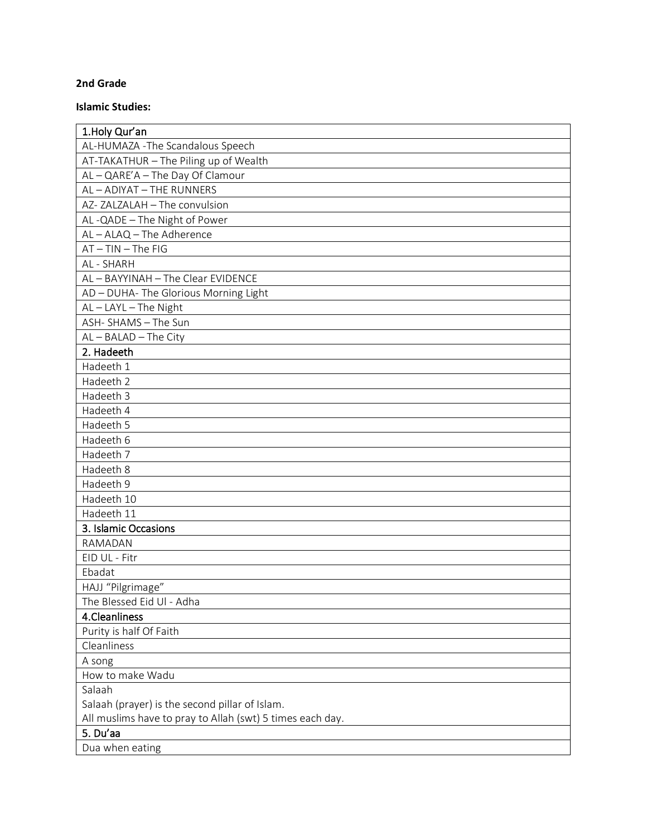## **2nd Grade**

## **Islamic Studies:**

| 1. Holy Qur'an                                            |
|-----------------------------------------------------------|
| AL-HUMAZA - The Scandalous Speech                         |
| AT-TAKATHUR - The Piling up of Wealth                     |
| AL-QARE'A-The Day Of Clamour                              |
| AL-ADIYAT-THE RUNNERS                                     |
| AZ-ZALZALAH - The convulsion                              |
| AL-QADE - The Night of Power                              |
| AL-ALAQ-The Adherence                                     |
| $AT-TIN-The FIG$                                          |
| AL - SHARH                                                |
| AL-BAYYINAH-The Clear EVIDENCE                            |
| AD - DUHA- The Glorious Morning Light                     |
| AL-LAYL-The Night                                         |
| ASH-SHAMS - The Sun                                       |
| $AL - BALAD - The City$                                   |
| 2. Hadeeth                                                |
| Hadeeth 1                                                 |
| Hadeeth 2                                                 |
| Hadeeth 3                                                 |
| Hadeeth 4                                                 |
| Hadeeth 5                                                 |
| Hadeeth 6                                                 |
| Hadeeth 7                                                 |
| Hadeeth 8                                                 |
| Hadeeth 9                                                 |
| Hadeeth 10                                                |
| Hadeeth 11                                                |
| 3. Islamic Occasions                                      |
| RAMADAN                                                   |
| EID UL - Fitr                                             |
| Ebadat                                                    |
| HAJJ "Pilgrimage"                                         |
| The Blessed Eid Ul - Adha                                 |
| 4.Cleanliness                                             |
| Purity is half Of Faith                                   |
| Cleanliness                                               |
| A song                                                    |
| How to make Wadu                                          |
| Salaah                                                    |
| Salaah (prayer) is the second pillar of Islam.            |
| All muslims have to pray to Allah (swt) 5 times each day. |
| 5. Du'aa                                                  |
| Dua when eating                                           |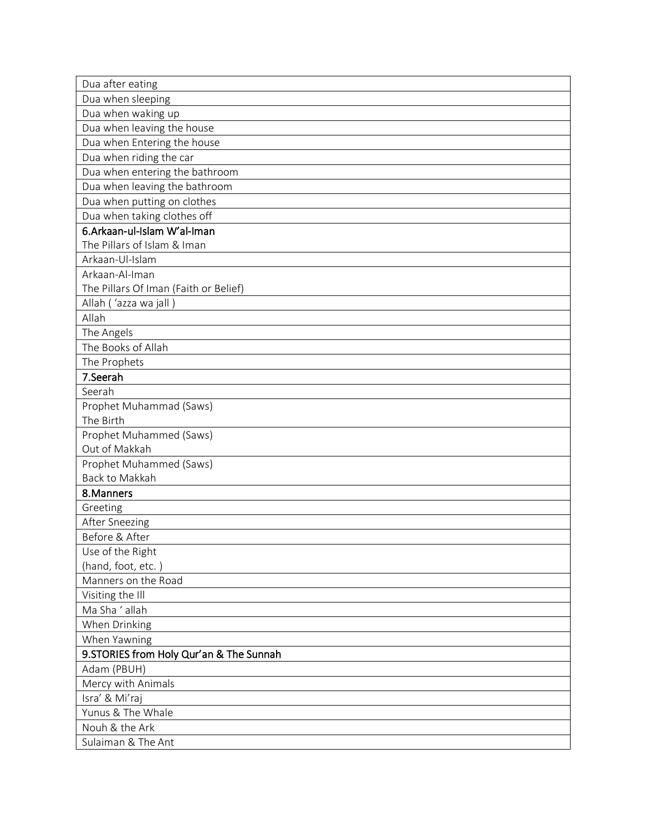| Dua after eating                         |
|------------------------------------------|
| Dua when sleeping                        |
| Dua when waking up                       |
| Dua when leaving the house               |
| Dua when Entering the house              |
| Dua when riding the car                  |
| Dua when entering the bathroom           |
| Dua when leaving the bathroom            |
| Dua when putting on clothes              |
| Dua when taking clothes off              |
| 6.Arkaan-ul-Islam W'al-Iman              |
| The Pillars of Islam & Iman              |
| Arkaan-Ul-Islam                          |
| Arkaan-Al-Iman                           |
| The Pillars Of Iman (Faith or Belief)    |
| Allah ('azza wa jall)                    |
| Allah                                    |
| The Angels                               |
| The Books of Allah                       |
| The Prophets                             |
| 7.Seerah                                 |
| Seerah                                   |
| Prophet Muhammad (Saws)                  |
| The Birth                                |
| Prophet Muhammed (Saws)                  |
| Out of Makkah                            |
| Prophet Muhammed (Saws)                  |
| Back to Makkah                           |
| 8. Manners                               |
| Greeting                                 |
| After Sneezing                           |
| Before & After                           |
| Use of the Right                         |
| (hand, foot, etc.)                       |
| Manners on the Road                      |
| Visiting the Ill                         |
| Ma Sha ' allah                           |
| When Drinking                            |
| When Yawning                             |
| 9. STORIES from Holy Qur'an & The Sunnah |
| Adam (PBUH)                              |
| Mercy with Animals                       |
| Isra' & Mi'raj                           |
| Yunus & The Whale                        |
| Nouh & the Ark                           |
| Sulaiman & The Ant                       |